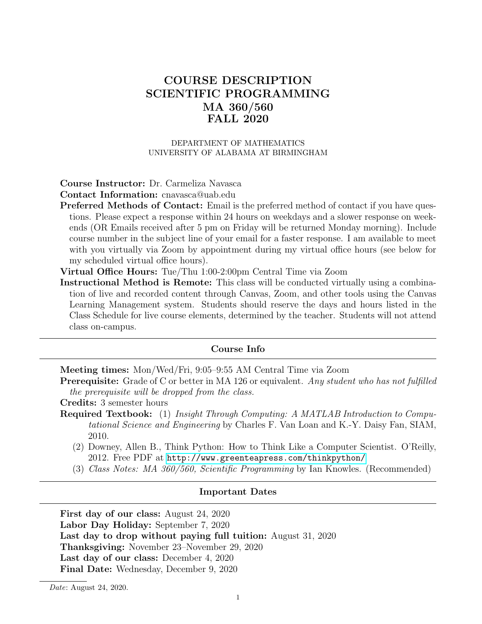# COURSE DESCRIPTION SCIENTIFIC PROGRAMMING MA 360/560 FALL 2020

#### DEPARTMENT OF MATHEMATICS UNIVERSITY OF ALABAMA AT BIRMINGHAM

### Course Instructor: Dr. Carmeliza Navasca

Contact Information: cnavasca@uab.edu

- Preferred Methods of Contact: Email is the preferred method of contact if you have questions. Please expect a response within 24 hours on weekdays and a slower response on weekends (OR Emails received after 5 pm on Friday will be returned Monday morning). Include course number in the subject line of your email for a faster response. I am available to meet with you virtually via Zoom by appointment during my virtual office hours (see below for my scheduled virtual office hours).
- Virtual Office Hours: Tue/Thu 1:00-2:00pm Central Time via Zoom
- Instructional Method is Remote: This class will be conducted virtually using a combination of live and recorded content through Canvas, Zoom, and other tools using the Canvas Learning Management system. Students should reserve the days and hours listed in the Class Schedule for live course elements, determined by the teacher. Students will not attend class on-campus.

#### Course Info

Meeting times: Mon/Wed/Fri, 9:05–9:55 AM Central Time via Zoom

Prerequisite: Grade of C or better in MA 126 or equivalent. Any student who has not fulfilled the prerequisite will be dropped from the class.

Credits: 3 semester hours

- Required Textbook: (1) Insight Through Computing: A MATLAB Introduction to Computational Science and Engineering by Charles F. Van Loan and K.-Y. Daisy Fan, SIAM, 2010.
	- (2) Downey, Allen B., Think Python: How to Think Like a Computer Scientist. O'Reilly, 2012. Free PDF at <http://www.greenteapress.com/thinkpython/>
	- (3) Class Notes: MA 360/560, Scientific Programming by Ian Knowles. (Recommended)

#### Important Dates

First day of our class: August 24, 2020 Labor Day Holiday: September 7, 2020 Last day to drop without paying full tuition: August 31, 2020 Thanksgiving: November 23–November 29, 2020 Last day of our class: December 4, 2020 Final Date: Wednesday, December 9, 2020

Date: August 24, 2020.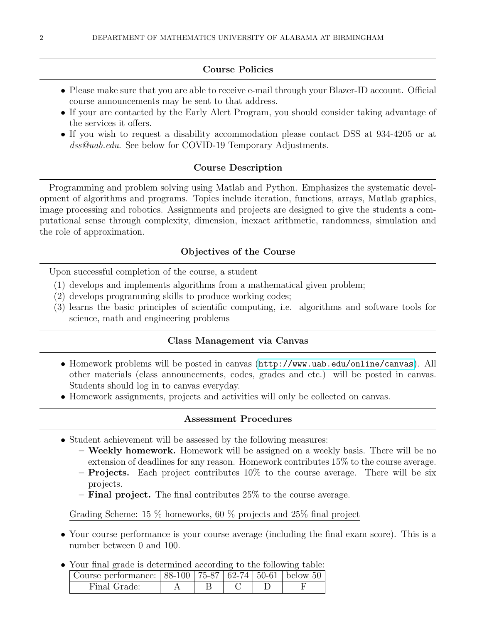### Course Policies

- Please make sure that you are able to receive e-mail through your Blazer-ID account. Official course announcements may be sent to that address.
- If your are contacted by the Early Alert Program, you should consider taking advantage of the services it offers.
- If you wish to request a disability accommodation please contact DSS at 934-4205 or at dss@uab.edu. See below for COVID-19 Temporary Adjustments.

#### Course Description

Programming and problem solving using Matlab and Python. Emphasizes the systematic development of algorithms and programs. Topics include iteration, functions, arrays, Matlab graphics, image processing and robotics. Assignments and projects are designed to give the students a computational sense through complexity, dimension, inexact arithmetic, randomness, simulation and the role of approximation.

#### Objectives of the Course

Upon successful completion of the course, a student

- (1) develops and implements algorithms from a mathematical given problem;
- (2) develops programming skills to produce working codes;
- (3) learns the basic principles of scientific computing, i.e. algorithms and software tools for science, math and engineering problems

#### Class Management via Canvas

- Homework problems will be posted in canvas (<http://www.uab.edu/online/canvas>). All other materials (class announcements, codes, grades and etc.) will be posted in canvas. Students should log in to canvas everyday.
- Homework assignments, projects and activities will only be collected on canvas.

#### Assessment Procedures

- Student achievement will be assessed by the following measures:
	- Weekly homework. Homework will be assigned on a weekly basis. There will be no extension of deadlines for any reason. Homework contributes 15% to the course average.
	- $-$  **Projects.** Each project contributes 10% to the course average. There will be six projects.
	- **Final project.** The final contributes  $25\%$  to the course average.

Grading Scheme: 15 % homeworks, 60 % projects and 25% final project

- Your course performance is your course average (including the final exam score). This is a number between 0 and 100.
- Your final grade is determined according to the following table:

| $20.11$ minut grows to accelerating a weedlating to the renew ming control |  |  |  |  |  |
|----------------------------------------------------------------------------|--|--|--|--|--|
| Course performance: $  88-100   75-87   62-74   50-61  $ below 50          |  |  |  |  |  |
| Final Grade:                                                               |  |  |  |  |  |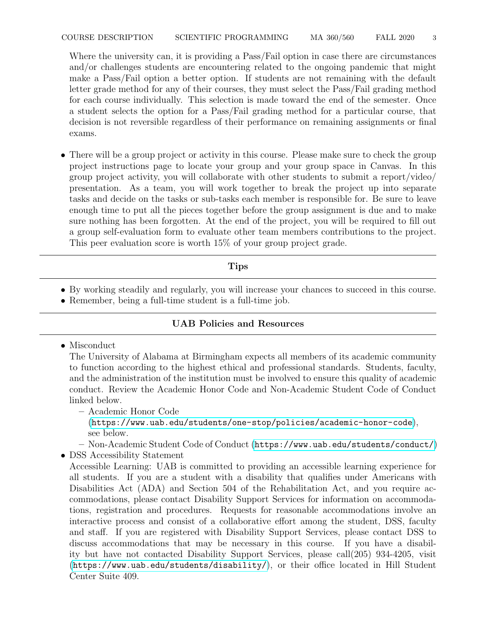Where the university can, it is providing a Pass/Fail option in case there are circumstances and/or challenges students are encountering related to the ongoing pandemic that might make a Pass/Fail option a better option. If students are not remaining with the default letter grade method for any of their courses, they must select the Pass/Fail grading method for each course individually. This selection is made toward the end of the semester. Once a student selects the option for a Pass/Fail grading method for a particular course, that decision is not reversible regardless of their performance on remaining assignments or final exams.

• There will be a group project or activity in this course. Please make sure to check the group project instructions page to locate your group and your group space in Canvas. In this group project activity, you will collaborate with other students to submit a report/video/ presentation. As a team, you will work together to break the project up into separate tasks and decide on the tasks or sub-tasks each member is responsible for. Be sure to leave enough time to put all the pieces together before the group assignment is due and to make sure nothing has been forgotten. At the end of the project, you will be required to fill out a group self-evaluation form to evaluate other team members contributions to the project. This peer evaluation score is worth 15% of your group project grade.

# Tips

- By working steadily and regularly, you will increase your chances to succeed in this course.
- Remember, being a full-time student is a full-time job.

# UAB Policies and Resources

• Misconduct

The University of Alabama at Birmingham expects all members of its academic community to function according to the highest ethical and professional standards. Students, faculty, and the administration of the institution must be involved to ensure this quality of academic conduct. Review the Academic Honor Code and Non-Academic Student Code of Conduct linked below.

– Academic Honor Code

(<https://www.uab.edu/students/one-stop/policies/academic-honor-code>), see below.

– Non-Academic Student Code of Conduct (<https://www.uab.edu/students/conduct/>)

• DSS Accessibility Statement

Accessible Learning: UAB is committed to providing an accessible learning experience for all students. If you are a student with a disability that qualifies under Americans with Disabilities Act (ADA) and Section 504 of the Rehabilitation Act, and you require accommodations, please contact Disability Support Services for information on accommodations, registration and procedures. Requests for reasonable accommodations involve an interactive process and consist of a collaborative effort among the student, DSS, faculty and staff. If you are registered with Disability Support Services, please contact DSS to discuss accommodations that may be necessary in this course. If you have a disability but have not contacted Disability Support Services, please call(205) 934-4205, visit (<https://www.uab.edu/students/disability/>), or their office located in Hill Student Center Suite 409.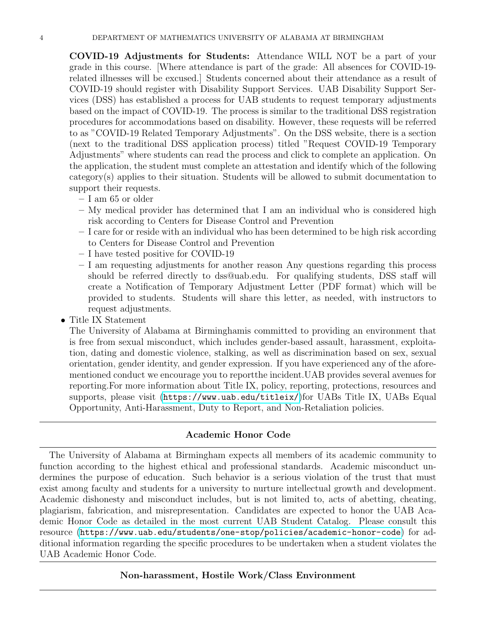COVID-19 Adjustments for Students: Attendance WILL NOT be a part of your grade in this course. [Where attendance is part of the grade: All absences for COVID-19 related illnesses will be excused.] Students concerned about their attendance as a result of COVID-19 should register with Disability Support Services. UAB Disability Support Services (DSS) has established a process for UAB students to request temporary adjustments based on the impact of COVID-19. The process is similar to the traditional DSS registration procedures for accommodations based on disability. However, these requests will be referred to as "COVID-19 Related Temporary Adjustments". On the DSS website, there is a section (next to the traditional DSS application process) titled "Request COVID-19 Temporary Adjustments" where students can read the process and click to complete an application. On the application, the student must complete an attestation and identify which of the following category(s) applies to their situation. Students will be allowed to submit documentation to support their requests.

- I am 65 or older
- My medical provider has determined that I am an individual who is considered high risk according to Centers for Disease Control and Prevention
- I care for or reside with an individual who has been determined to be high risk according to Centers for Disease Control and Prevention
- I have tested positive for COVID-19
- I am requesting adjustments for another reason Any questions regarding this process should be referred directly to dss@uab.edu. For qualifying students, DSS staff will create a Notification of Temporary Adjustment Letter (PDF format) which will be provided to students. Students will share this letter, as needed, with instructors to request adjustments.
- Title IX Statement

The University of Alabama at Birminghamis committed to providing an environment that is free from sexual misconduct, which includes gender-based assault, harassment, exploitation, dating and domestic violence, stalking, as well as discrimination based on sex, sexual orientation, gender identity, and gender expression. If you have experienced any of the aforementioned conduct we encourage you to reportthe incident.UAB provides several avenues for reporting.For more information about Title IX, policy, reporting, protections, resources and supports, please visit (<https://www.uab.edu/titleix/>)for UABs Title IX, UABs Equal Opportunity, Anti-Harassment, Duty to Report, and Non-Retaliation policies.

## Academic Honor Code

The University of Alabama at Birmingham expects all members of its academic community to function according to the highest ethical and professional standards. Academic misconduct undermines the purpose of education. Such behavior is a serious violation of the trust that must exist among faculty and students for a university to nurture intellectual growth and development. Academic dishonesty and misconduct includes, but is not limited to, acts of abetting, cheating, plagiarism, fabrication, and misrepresentation. Candidates are expected to honor the UAB Academic Honor Code as detailed in the most current UAB Student Catalog. Please consult this resource (<https://www.uab.edu/students/one-stop/policies/academic-honor-code>) for additional information regarding the specific procedures to be undertaken when a student violates the UAB Academic Honor Code.

# Non-harassment, Hostile Work/Class Environment